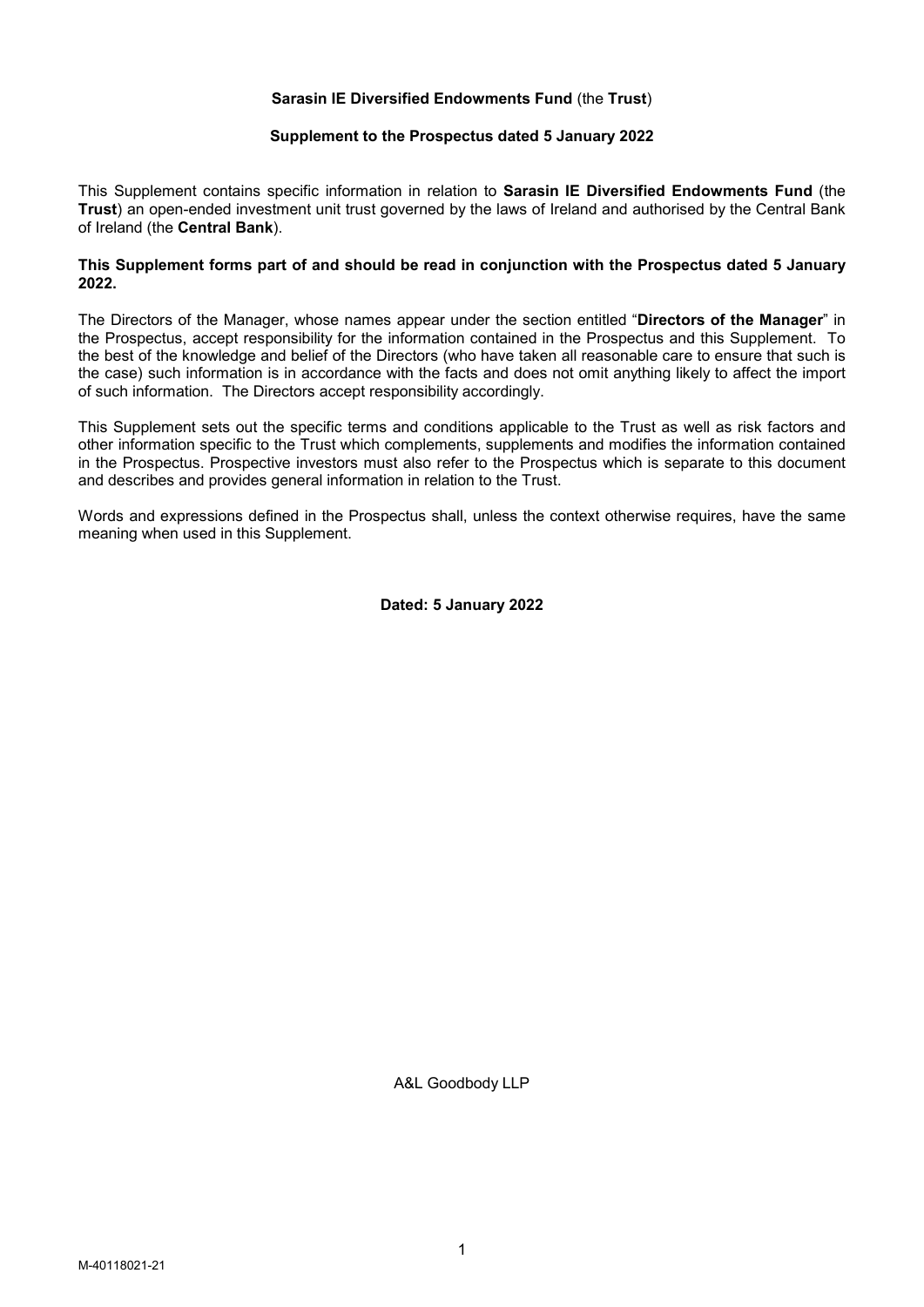# Sarasin IE Diversified Endowments Fund (the Trust)

#### Supplement to the Prospectus dated 5 January 2022

This Supplement contains specific information in relation to Sarasin IE Diversified Endowments Fund (the Trust) an open-ended investment unit trust governed by the laws of Ireland and authorised by the Central Bank of Ireland (the Central Bank).

### This Supplement forms part of and should be read in conjunction with the Prospectus dated 5 January 2022.

The Directors of the Manager, whose names appear under the section entitled "Directors of the Manager" in the Prospectus, accept responsibility for the information contained in the Prospectus and this Supplement. To the best of the knowledge and belief of the Directors (who have taken all reasonable care to ensure that such is the case) such information is in accordance with the facts and does not omit anything likely to affect the import of such information. The Directors accept responsibility accordingly.

This Supplement sets out the specific terms and conditions applicable to the Trust as well as risk factors and other information specific to the Trust which complements, supplements and modifies the information contained in the Prospectus. Prospective investors must also refer to the Prospectus which is separate to this document and describes and provides general information in relation to the Trust.

Words and expressions defined in the Prospectus shall, unless the context otherwise requires, have the same meaning when used in this Supplement.

Dated: 5 January 2022

A&L Goodbody LLP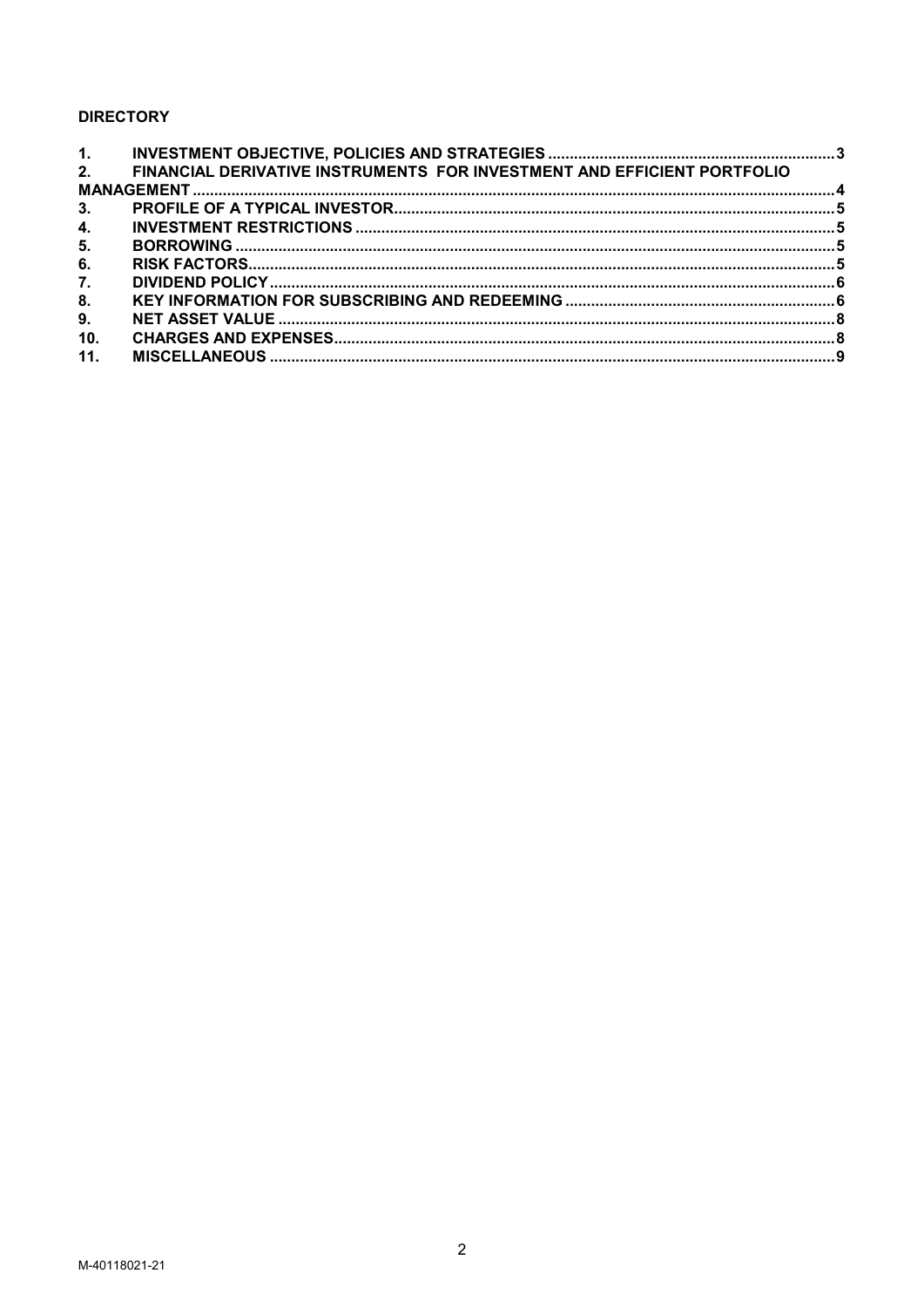# **DIRECTORY**

| 1.  |                                                                         |  |  |  |  |
|-----|-------------------------------------------------------------------------|--|--|--|--|
| 2.  | FINANCIAL DERIVATIVE INSTRUMENTS FOR INVESTMENT AND EFFICIENT PORTFOLIO |  |  |  |  |
|     |                                                                         |  |  |  |  |
| 3.  |                                                                         |  |  |  |  |
| 4.  |                                                                         |  |  |  |  |
| 5.  |                                                                         |  |  |  |  |
| 6.  |                                                                         |  |  |  |  |
| 7.  |                                                                         |  |  |  |  |
| 8.  |                                                                         |  |  |  |  |
| 9.  |                                                                         |  |  |  |  |
| 10. |                                                                         |  |  |  |  |
| 11. |                                                                         |  |  |  |  |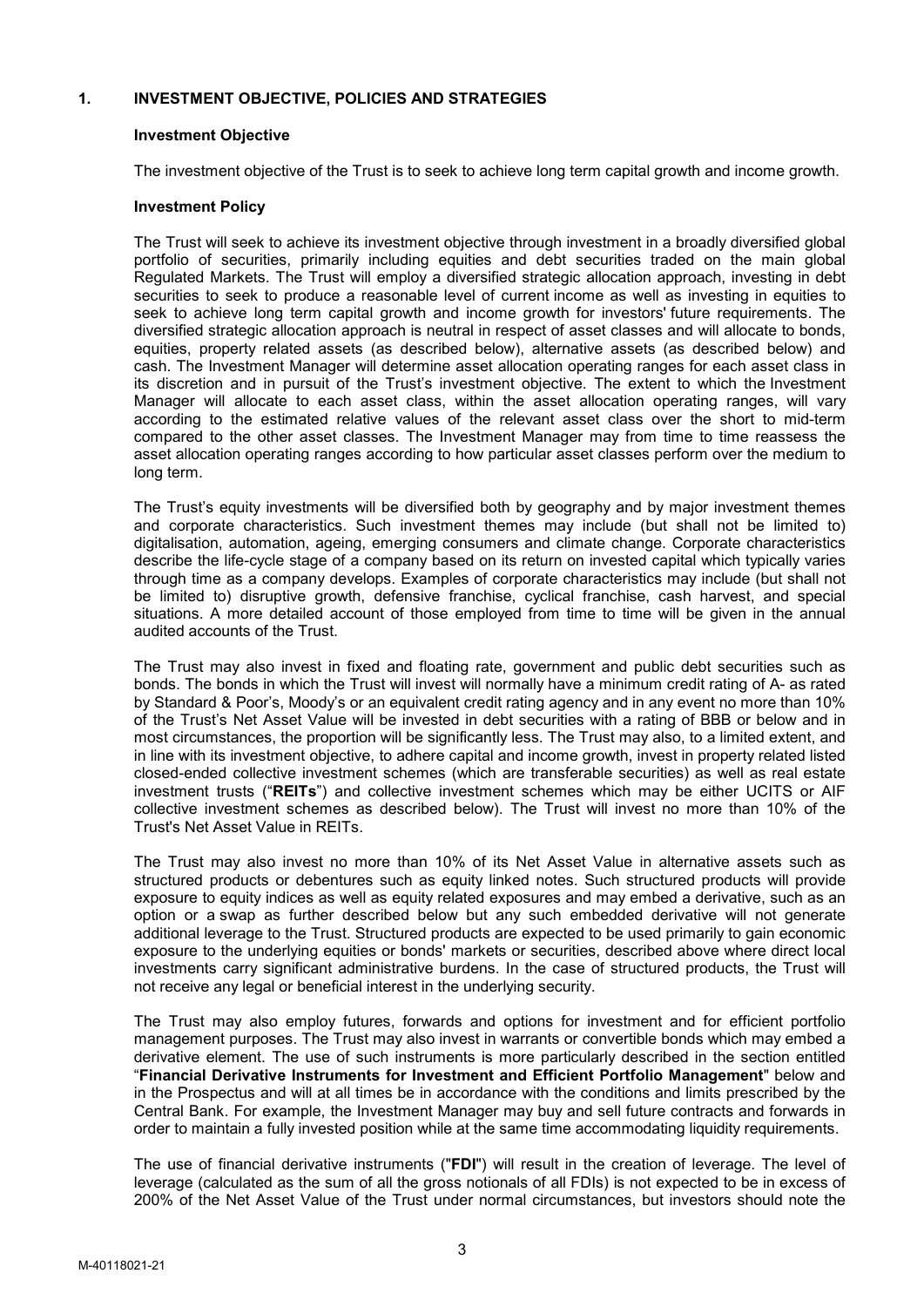# 1. INVESTMENT OBJECTIVE, POLICIES AND STRATEGIES

## Investment Objective

The investment objective of the Trust is to seek to achieve long term capital growth and income growth.

### Investment Policy

The Trust will seek to achieve its investment objective through investment in a broadly diversified global portfolio of securities, primarily including equities and debt securities traded on the main global Regulated Markets. The Trust will employ a diversified strategic allocation approach, investing in debt securities to seek to produce a reasonable level of current income as well as investing in equities to seek to achieve long term capital growth and income growth for investors' future requirements. The diversified strategic allocation approach is neutral in respect of asset classes and will allocate to bonds, equities, property related assets (as described below), alternative assets (as described below) and cash. The Investment Manager will determine asset allocation operating ranges for each asset class in its discretion and in pursuit of the Trust's investment objective. The extent to which the Investment Manager will allocate to each asset class, within the asset allocation operating ranges, will vary according to the estimated relative values of the relevant asset class over the short to mid-term compared to the other asset classes. The Investment Manager may from time to time reassess the asset allocation operating ranges according to how particular asset classes perform over the medium to long term.

The Trust's equity investments will be diversified both by geography and by major investment themes and corporate characteristics. Such investment themes may include (but shall not be limited to) digitalisation, automation, ageing, emerging consumers and climate change. Corporate characteristics describe the life-cycle stage of a company based on its return on invested capital which typically varies through time as a company develops. Examples of corporate characteristics may include (but shall not be limited to) disruptive growth, defensive franchise, cyclical franchise, cash harvest, and special situations. A more detailed account of those employed from time to time will be given in the annual audited accounts of the Trust.

The Trust may also invest in fixed and floating rate, government and public debt securities such as bonds. The bonds in which the Trust will invest will normally have a minimum credit rating of A- as rated by Standard & Poor's, Moody's or an equivalent credit rating agency and in any event no more than 10% of the Trust's Net Asset Value will be invested in debt securities with a rating of BBB or below and in most circumstances, the proportion will be significantly less. The Trust may also, to a limited extent, and in line with its investment objective, to adhere capital and income growth, invest in property related listed closed-ended collective investment schemes (which are transferable securities) as well as real estate investment trusts ("REITs") and collective investment schemes which may be either UCITS or AIF collective investment schemes as described below). The Trust will invest no more than 10% of the Trust's Net Asset Value in REITs.

The Trust may also invest no more than 10% of its Net Asset Value in alternative assets such as structured products or debentures such as equity linked notes. Such structured products will provide exposure to equity indices as well as equity related exposures and may embed a derivative, such as an option or a swap as further described below but any such embedded derivative will not generate additional leverage to the Trust. Structured products are expected to be used primarily to gain economic exposure to the underlying equities or bonds' markets or securities, described above where direct local investments carry significant administrative burdens. In the case of structured products, the Trust will not receive any legal or beneficial interest in the underlying security.

The Trust may also employ futures, forwards and options for investment and for efficient portfolio management purposes. The Trust may also invest in warrants or convertible bonds which may embed a derivative element. The use of such instruments is more particularly described in the section entitled "Financial Derivative Instruments for Investment and Efficient Portfolio Management" below and in the Prospectus and will at all times be in accordance with the conditions and limits prescribed by the Central Bank. For example, the Investment Manager may buy and sell future contracts and forwards in order to maintain a fully invested position while at the same time accommodating liquidity requirements.

The use of financial derivative instruments ("FDI") will result in the creation of leverage. The level of leverage (calculated as the sum of all the gross notionals of all FDIs) is not expected to be in excess of 200% of the Net Asset Value of the Trust under normal circumstances, but investors should note the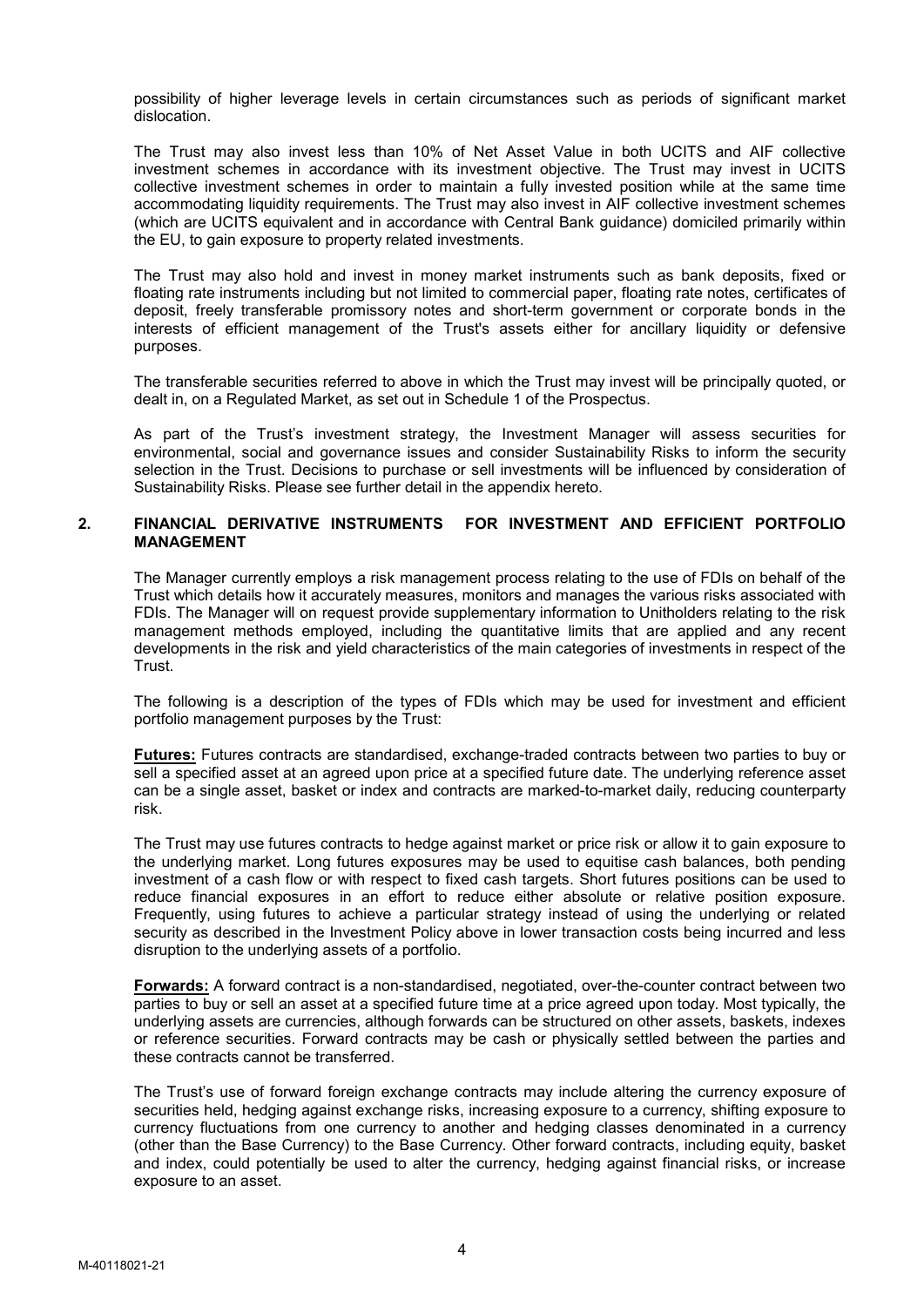possibility of higher leverage levels in certain circumstances such as periods of significant market dislocation.

The Trust may also invest less than 10% of Net Asset Value in both UCITS and AIF collective investment schemes in accordance with its investment objective. The Trust may invest in UCITS collective investment schemes in order to maintain a fully invested position while at the same time accommodating liquidity requirements. The Trust may also invest in AIF collective investment schemes (which are UCITS equivalent and in accordance with Central Bank guidance) domiciled primarily within the EU, to gain exposure to property related investments.

The Trust may also hold and invest in money market instruments such as bank deposits, fixed or floating rate instruments including but not limited to commercial paper, floating rate notes, certificates of deposit, freely transferable promissory notes and short-term government or corporate bonds in the interests of efficient management of the Trust's assets either for ancillary liquidity or defensive purposes.

The transferable securities referred to above in which the Trust may invest will be principally quoted, or dealt in, on a Regulated Market, as set out in Schedule 1 of the Prospectus.

As part of the Trust's investment strategy, the Investment Manager will assess securities for environmental, social and governance issues and consider Sustainability Risks to inform the security selection in the Trust. Decisions to purchase or sell investments will be influenced by consideration of Sustainability Risks. Please see further detail in the appendix hereto.

### 2. FINANCIAL DERIVATIVE INSTRUMENTS FOR INVESTMENT AND EFFICIENT PORTFOLIO MANAGEMENT

The Manager currently employs a risk management process relating to the use of FDIs on behalf of the Trust which details how it accurately measures, monitors and manages the various risks associated with FDIs. The Manager will on request provide supplementary information to Unitholders relating to the risk management methods employed, including the quantitative limits that are applied and any recent developments in the risk and yield characteristics of the main categories of investments in respect of the Trust.

The following is a description of the types of FDIs which may be used for investment and efficient portfolio management purposes by the Trust:

Futures: Futures contracts are standardised, exchange-traded contracts between two parties to buy or sell a specified asset at an agreed upon price at a specified future date. The underlying reference asset can be a single asset, basket or index and contracts are marked-to-market daily, reducing counterparty risk.

The Trust may use futures contracts to hedge against market or price risk or allow it to gain exposure to the underlying market. Long futures exposures may be used to equitise cash balances, both pending investment of a cash flow or with respect to fixed cash targets. Short futures positions can be used to reduce financial exposures in an effort to reduce either absolute or relative position exposure. Frequently, using futures to achieve a particular strategy instead of using the underlying or related security as described in the Investment Policy above in lower transaction costs being incurred and less disruption to the underlying assets of a portfolio.

Forwards: A forward contract is a non-standardised, negotiated, over-the-counter contract between two parties to buy or sell an asset at a specified future time at a price agreed upon today. Most typically, the underlying assets are currencies, although forwards can be structured on other assets, baskets, indexes or reference securities. Forward contracts may be cash or physically settled between the parties and these contracts cannot be transferred.

The Trust's use of forward foreign exchange contracts may include altering the currency exposure of securities held, hedging against exchange risks, increasing exposure to a currency, shifting exposure to currency fluctuations from one currency to another and hedging classes denominated in a currency (other than the Base Currency) to the Base Currency. Other forward contracts, including equity, basket and index, could potentially be used to alter the currency, hedging against financial risks, or increase exposure to an asset.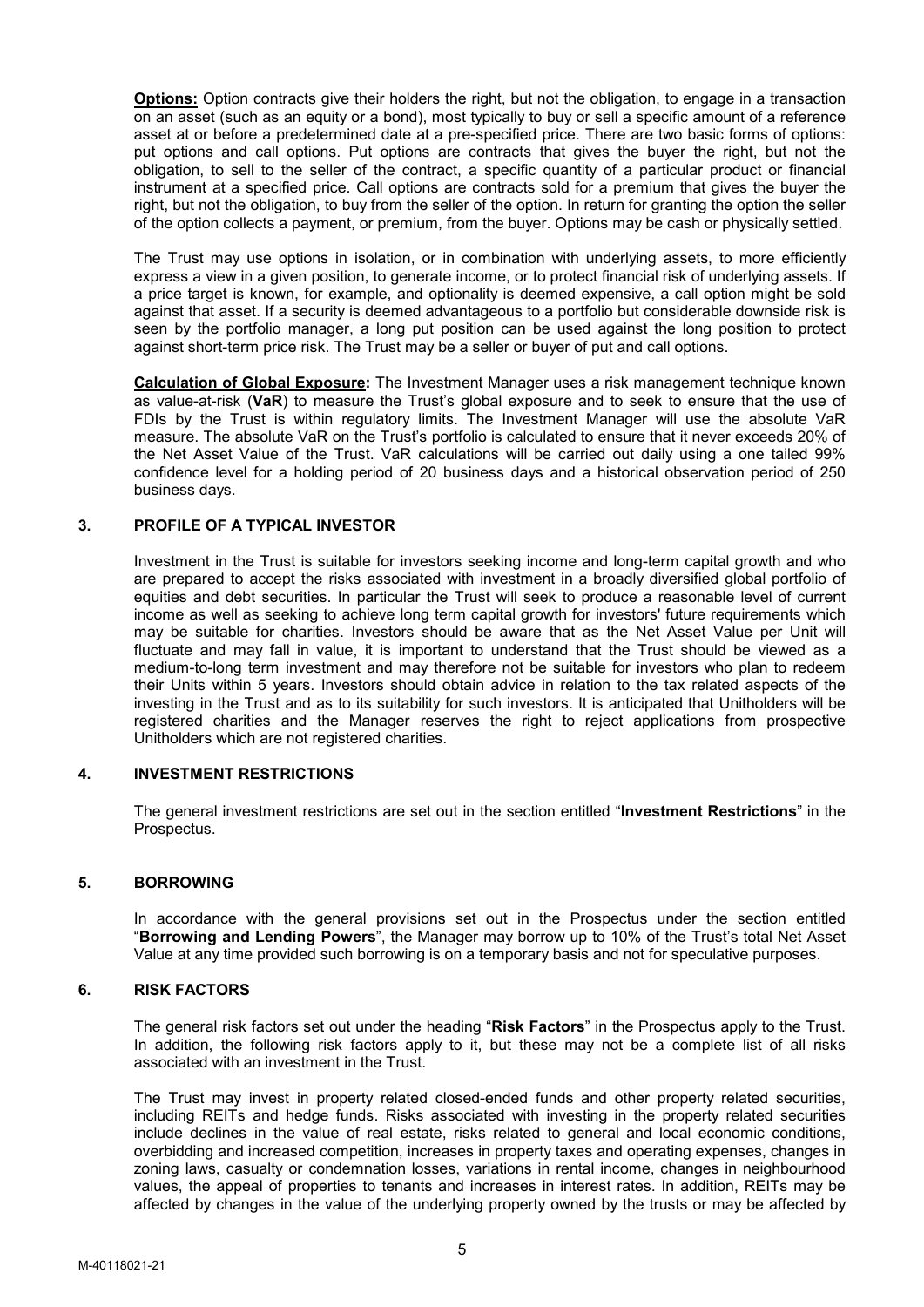Options: Option contracts give their holders the right, but not the obligation, to engage in a transaction on an asset (such as an equity or a bond), most typically to buy or sell a specific amount of a reference asset at or before a predetermined date at a pre-specified price. There are two basic forms of options: put options and call options. Put options are contracts that gives the buyer the right, but not the obligation, to sell to the seller of the contract, a specific quantity of a particular product or financial instrument at a specified price. Call options are contracts sold for a premium that gives the buyer the right, but not the obligation, to buy from the seller of the option. In return for granting the option the seller of the option collects a payment, or premium, from the buyer. Options may be cash or physically settled.

The Trust may use options in isolation, or in combination with underlying assets, to more efficiently express a view in a given position, to generate income, or to protect financial risk of underlying assets. If a price target is known, for example, and optionality is deemed expensive, a call option might be sold against that asset. If a security is deemed advantageous to a portfolio but considerable downside risk is seen by the portfolio manager, a long put position can be used against the long position to protect against short-term price risk. The Trust may be a seller or buyer of put and call options.

Calculation of Global Exposure: The Investment Manager uses a risk management technique known as value-at-risk (VaR) to measure the Trust's global exposure and to seek to ensure that the use of FDIs by the Trust is within regulatory limits. The Investment Manager will use the absolute VaR measure. The absolute VaR on the Trust's portfolio is calculated to ensure that it never exceeds 20% of the Net Asset Value of the Trust. VaR calculations will be carried out daily using a one tailed 99% confidence level for a holding period of 20 business days and a historical observation period of 250 business days.

# 3. PROFILE OF A TYPICAL INVESTOR

Investment in the Trust is suitable for investors seeking income and long-term capital growth and who are prepared to accept the risks associated with investment in a broadly diversified global portfolio of equities and debt securities. In particular the Trust will seek to produce a reasonable level of current income as well as seeking to achieve long term capital growth for investors' future requirements which may be suitable for charities. Investors should be aware that as the Net Asset Value per Unit will fluctuate and may fall in value, it is important to understand that the Trust should be viewed as a medium-to-long term investment and may therefore not be suitable for investors who plan to redeem their Units within 5 years. Investors should obtain advice in relation to the tax related aspects of the investing in the Trust and as to its suitability for such investors. It is anticipated that Unitholders will be registered charities and the Manager reserves the right to reject applications from prospective Unitholders which are not registered charities.

## 4. INVESTMENT RESTRICTIONS

The general investment restrictions are set out in the section entitled "Investment Restrictions" in the Prospectus.

### 5. BORROWING

In accordance with the general provisions set out in the Prospectus under the section entitled "Borrowing and Lending Powers", the Manager may borrow up to 10% of the Trust's total Net Asset Value at any time provided such borrowing is on a temporary basis and not for speculative purposes.

#### 6. RISK FACTORS

The general risk factors set out under the heading "Risk Factors" in the Prospectus apply to the Trust. In addition, the following risk factors apply to it, but these may not be a complete list of all risks associated with an investment in the Trust.

The Trust may invest in property related closed-ended funds and other property related securities, including REITs and hedge funds. Risks associated with investing in the property related securities include declines in the value of real estate, risks related to general and local economic conditions, overbidding and increased competition, increases in property taxes and operating expenses, changes in zoning laws, casualty or condemnation losses, variations in rental income, changes in neighbourhood values, the appeal of properties to tenants and increases in interest rates. In addition, REITs may be affected by changes in the value of the underlying property owned by the trusts or may be affected by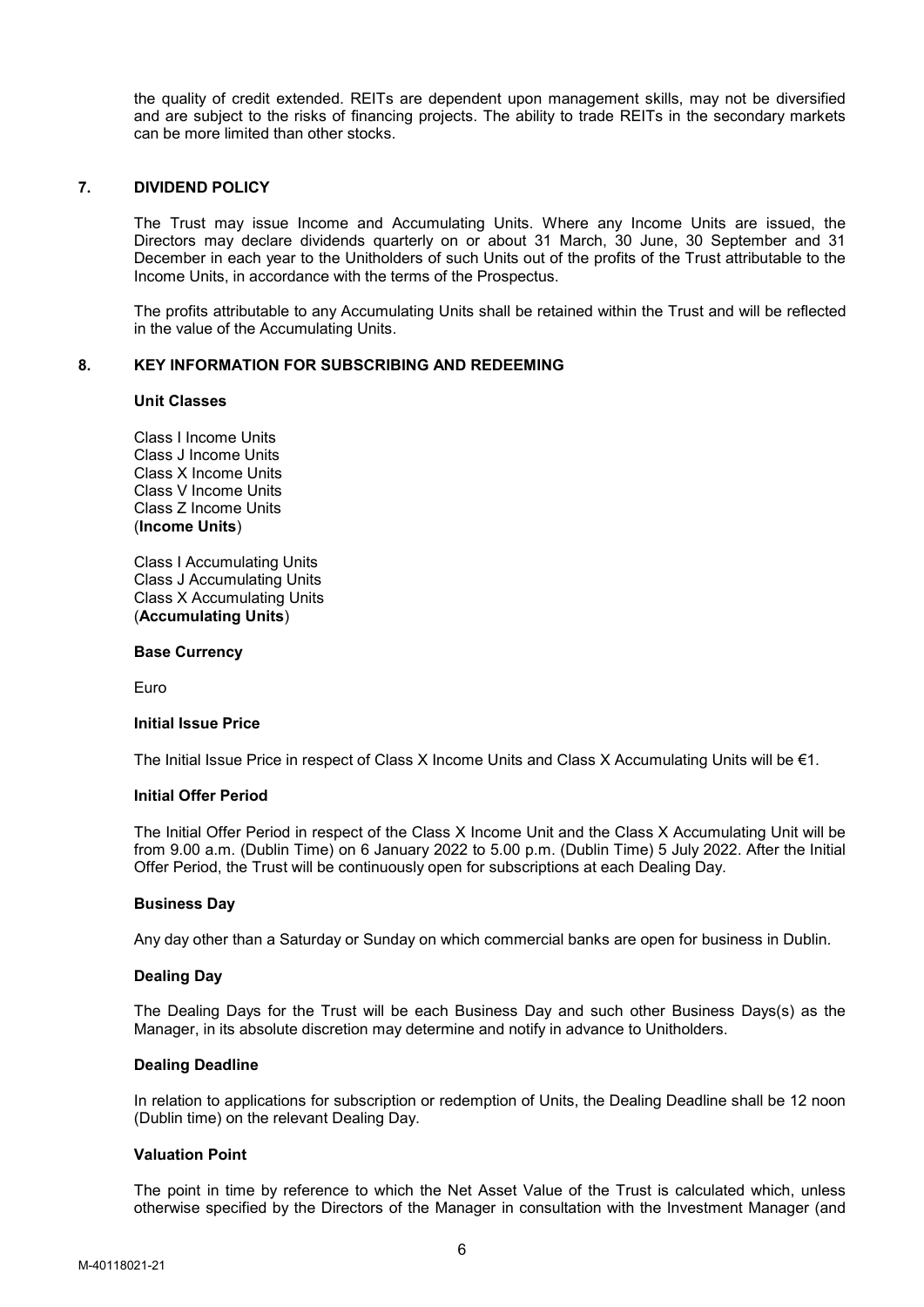the quality of credit extended. REITs are dependent upon management skills, may not be diversified and are subject to the risks of financing projects. The ability to trade REITs in the secondary markets can be more limited than other stocks.

## 7. DIVIDEND POLICY

The Trust may issue Income and Accumulating Units. Where any Income Units are issued, the Directors may declare dividends quarterly on or about 31 March, 30 June, 30 September and 31 December in each year to the Unitholders of such Units out of the profits of the Trust attributable to the Income Units, in accordance with the terms of the Prospectus.

The profits attributable to any Accumulating Units shall be retained within the Trust and will be reflected in the value of the Accumulating Units.

### 8. KEY INFORMATION FOR SUBSCRIBING AND REDEEMING

#### Unit Classes

Class I Income Units Class J Income Units Class X Income Units Class V Income Units Class Z Income Units (Income Units)

Class I Accumulating Units Class J Accumulating Units Class X Accumulating Units (Accumulating Units)

#### Base Currency

Euro

#### Initial Issue Price

The Initial Issue Price in respect of Class X Income Units and Class X Accumulating Units will be  $\epsilon$ 1.

## Initial Offer Period

The Initial Offer Period in respect of the Class X Income Unit and the Class X Accumulating Unit will be from 9.00 a.m. (Dublin Time) on 6 January 2022 to 5.00 p.m. (Dublin Time) 5 July 2022. After the Initial Offer Period, the Trust will be continuously open for subscriptions at each Dealing Day.

#### Business Day

Any day other than a Saturday or Sunday on which commercial banks are open for business in Dublin.

#### Dealing Day

The Dealing Days for the Trust will be each Business Day and such other Business Days(s) as the Manager, in its absolute discretion may determine and notify in advance to Unitholders.

#### Dealing Deadline

In relation to applications for subscription or redemption of Units, the Dealing Deadline shall be 12 noon (Dublin time) on the relevant Dealing Day.

#### Valuation Point

The point in time by reference to which the Net Asset Value of the Trust is calculated which, unless otherwise specified by the Directors of the Manager in consultation with the Investment Manager (and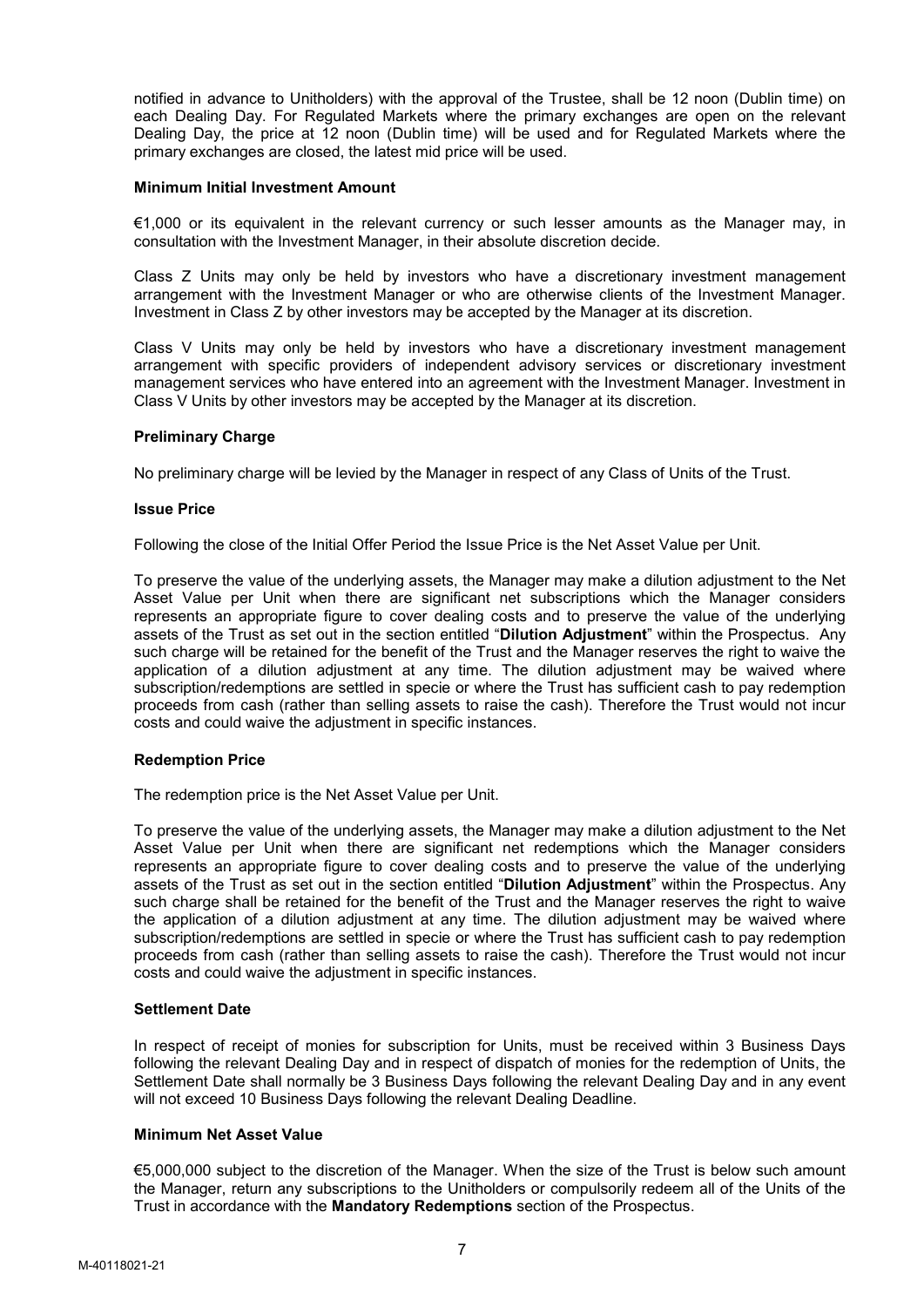notified in advance to Unitholders) with the approval of the Trustee, shall be 12 noon (Dublin time) on each Dealing Day. For Regulated Markets where the primary exchanges are open on the relevant Dealing Day, the price at 12 noon (Dublin time) will be used and for Regulated Markets where the primary exchanges are closed, the latest mid price will be used.

#### Minimum Initial Investment Amount

€1,000 or its equivalent in the relevant currency or such lesser amounts as the Manager may, in consultation with the Investment Manager, in their absolute discretion decide.

Class Z Units may only be held by investors who have a discretionary investment management arrangement with the Investment Manager or who are otherwise clients of the Investment Manager. Investment in Class Z by other investors may be accepted by the Manager at its discretion.

Class V Units may only be held by investors who have a discretionary investment management arrangement with specific providers of independent advisory services or discretionary investment management services who have entered into an agreement with the Investment Manager. Investment in Class V Units by other investors may be accepted by the Manager at its discretion.

## Preliminary Charge

No preliminary charge will be levied by the Manager in respect of any Class of Units of the Trust.

#### Issue Price

Following the close of the Initial Offer Period the Issue Price is the Net Asset Value per Unit.

To preserve the value of the underlying assets, the Manager may make a dilution adjustment to the Net Asset Value per Unit when there are significant net subscriptions which the Manager considers represents an appropriate figure to cover dealing costs and to preserve the value of the underlying assets of the Trust as set out in the section entitled "Dilution Adjustment" within the Prospectus. Any such charge will be retained for the benefit of the Trust and the Manager reserves the right to waive the application of a dilution adjustment at any time. The dilution adjustment may be waived where subscription/redemptions are settled in specie or where the Trust has sufficient cash to pay redemption proceeds from cash (rather than selling assets to raise the cash). Therefore the Trust would not incur costs and could waive the adjustment in specific instances.

#### Redemption Price

The redemption price is the Net Asset Value per Unit.

To preserve the value of the underlying assets, the Manager may make a dilution adjustment to the Net Asset Value per Unit when there are significant net redemptions which the Manager considers represents an appropriate figure to cover dealing costs and to preserve the value of the underlying assets of the Trust as set out in the section entitled "Dilution Adjustment" within the Prospectus. Any such charge shall be retained for the benefit of the Trust and the Manager reserves the right to waive the application of a dilution adjustment at any time. The dilution adjustment may be waived where subscription/redemptions are settled in specie or where the Trust has sufficient cash to pay redemption proceeds from cash (rather than selling assets to raise the cash). Therefore the Trust would not incur costs and could waive the adjustment in specific instances.

# Settlement Date

In respect of receipt of monies for subscription for Units, must be received within 3 Business Days following the relevant Dealing Day and in respect of dispatch of monies for the redemption of Units, the Settlement Date shall normally be 3 Business Days following the relevant Dealing Day and in any event will not exceed 10 Business Days following the relevant Dealing Deadline.

# Minimum Net Asset Value

€5,000,000 subject to the discretion of the Manager. When the size of the Trust is below such amount the Manager, return any subscriptions to the Unitholders or compulsorily redeem all of the Units of the Trust in accordance with the Mandatory Redemptions section of the Prospectus.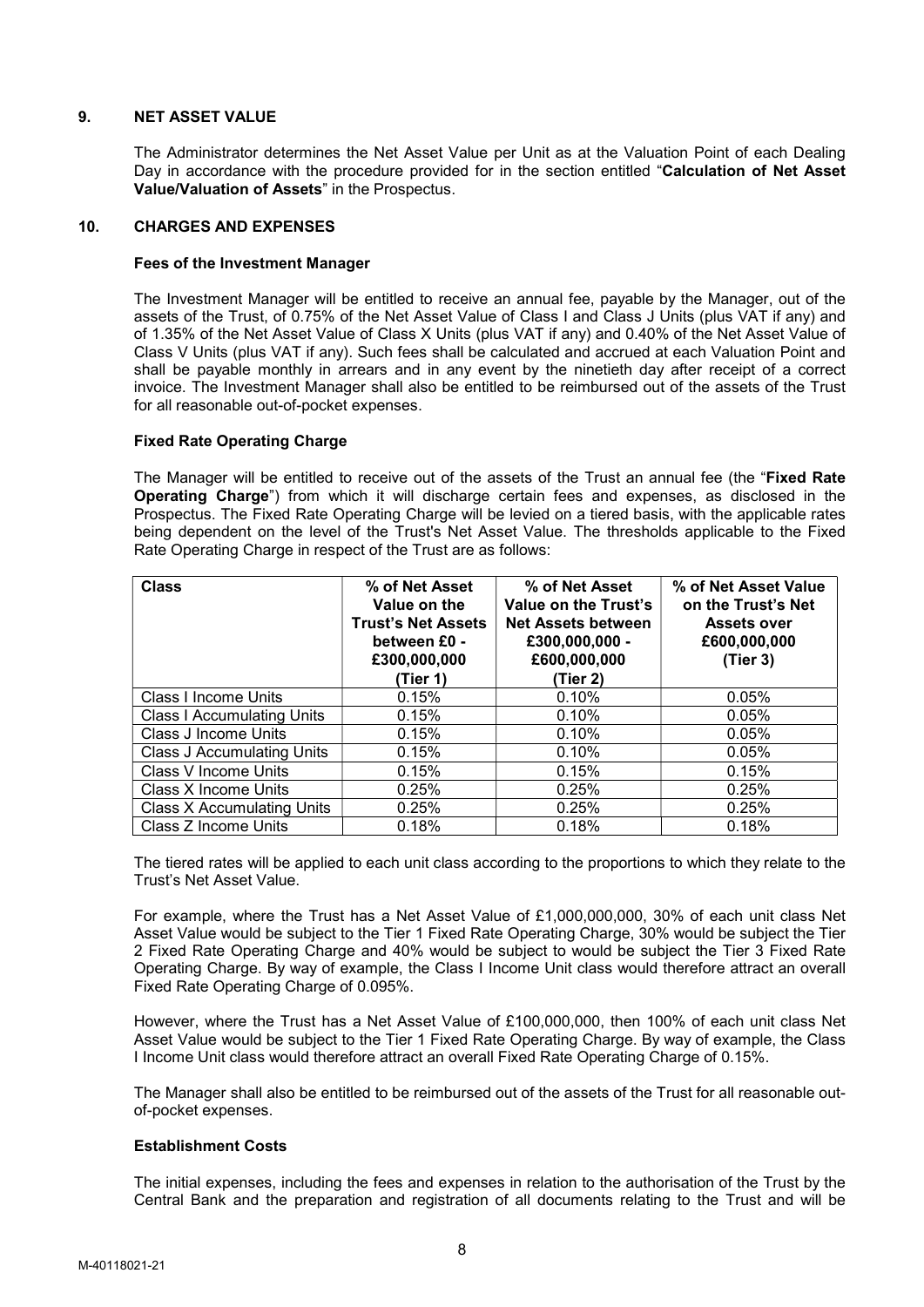# 9. NET ASSET VALUE

The Administrator determines the Net Asset Value per Unit as at the Valuation Point of each Dealing Day in accordance with the procedure provided for in the section entitled "Calculation of Net Asset Value/Valuation of Assets" in the Prospectus.

### 10. CHARGES AND EXPENSES

### Fees of the Investment Manager

 The Investment Manager will be entitled to receive an annual fee, payable by the Manager, out of the assets of the Trust, of 0.75% of the Net Asset Value of Class I and Class J Units (plus VAT if any) and of 1.35% of the Net Asset Value of Class X Units (plus VAT if any) and 0.40% of the Net Asset Value of Class V Units (plus VAT if any). Such fees shall be calculated and accrued at each Valuation Point and shall be payable monthly in arrears and in any event by the ninetieth day after receipt of a correct invoice. The Investment Manager shall also be entitled to be reimbursed out of the assets of the Trust for all reasonable out-of-pocket expenses.

## Fixed Rate Operating Charge

The Manager will be entitled to receive out of the assets of the Trust an annual fee (the "Fixed Rate Operating Charge") from which it will discharge certain fees and expenses, as disclosed in the Prospectus. The Fixed Rate Operating Charge will be levied on a tiered basis, with the applicable rates being dependent on the level of the Trust's Net Asset Value. The thresholds applicable to the Fixed Rate Operating Charge in respect of the Trust are as follows:

| <b>Class</b>                      | % of Net Asset<br>Value on the<br><b>Trust's Net Assets</b><br>between £0 -<br>£300,000,000<br>(Tier 1) | % of Net Asset<br>Value on the Trust's<br><b>Net Assets between</b><br>£300,000,000 -<br>£600,000,000<br>(Tier 2) | % of Net Asset Value<br>on the Trust's Net<br><b>Assets over</b><br>£600,000,000<br>(Tier 3) |
|-----------------------------------|---------------------------------------------------------------------------------------------------------|-------------------------------------------------------------------------------------------------------------------|----------------------------------------------------------------------------------------------|
| Class I Income Units              | 0.15%                                                                                                   | 0.10%                                                                                                             | 0.05%                                                                                        |
| <b>Class I Accumulating Units</b> | 0.15%                                                                                                   | 0.10%                                                                                                             | 0.05%                                                                                        |
| Class J Income Units              | 0.15%                                                                                                   | 0.10%                                                                                                             | 0.05%                                                                                        |
| <b>Class J Accumulating Units</b> | 0.15%                                                                                                   | 0.10%                                                                                                             | 0.05%                                                                                        |
| Class V Income Units              | 0.15%                                                                                                   | 0.15%                                                                                                             | 0.15%                                                                                        |
| Class X Income Units              | 0.25%                                                                                                   | 0.25%                                                                                                             | 0.25%                                                                                        |
| <b>Class X Accumulating Units</b> | 0.25%                                                                                                   | 0.25%                                                                                                             | 0.25%                                                                                        |
| Class Z Income Units              | 0.18%                                                                                                   | 0.18%                                                                                                             | 0.18%                                                                                        |

The tiered rates will be applied to each unit class according to the proportions to which they relate to the Trust's Net Asset Value.

For example, where the Trust has a Net Asset Value of £1,000,000,000, 30% of each unit class Net Asset Value would be subject to the Tier 1 Fixed Rate Operating Charge, 30% would be subject the Tier 2 Fixed Rate Operating Charge and 40% would be subject to would be subject the Tier 3 Fixed Rate Operating Charge. By way of example, the Class I Income Unit class would therefore attract an overall Fixed Rate Operating Charge of 0.095%.

However, where the Trust has a Net Asset Value of £100,000,000, then 100% of each unit class Net Asset Value would be subject to the Tier 1 Fixed Rate Operating Charge. By way of example, the Class I Income Unit class would therefore attract an overall Fixed Rate Operating Charge of 0.15%.

The Manager shall also be entitled to be reimbursed out of the assets of the Trust for all reasonable outof-pocket expenses.

### Establishment Costs

The initial expenses, including the fees and expenses in relation to the authorisation of the Trust by the Central Bank and the preparation and registration of all documents relating to the Trust and will be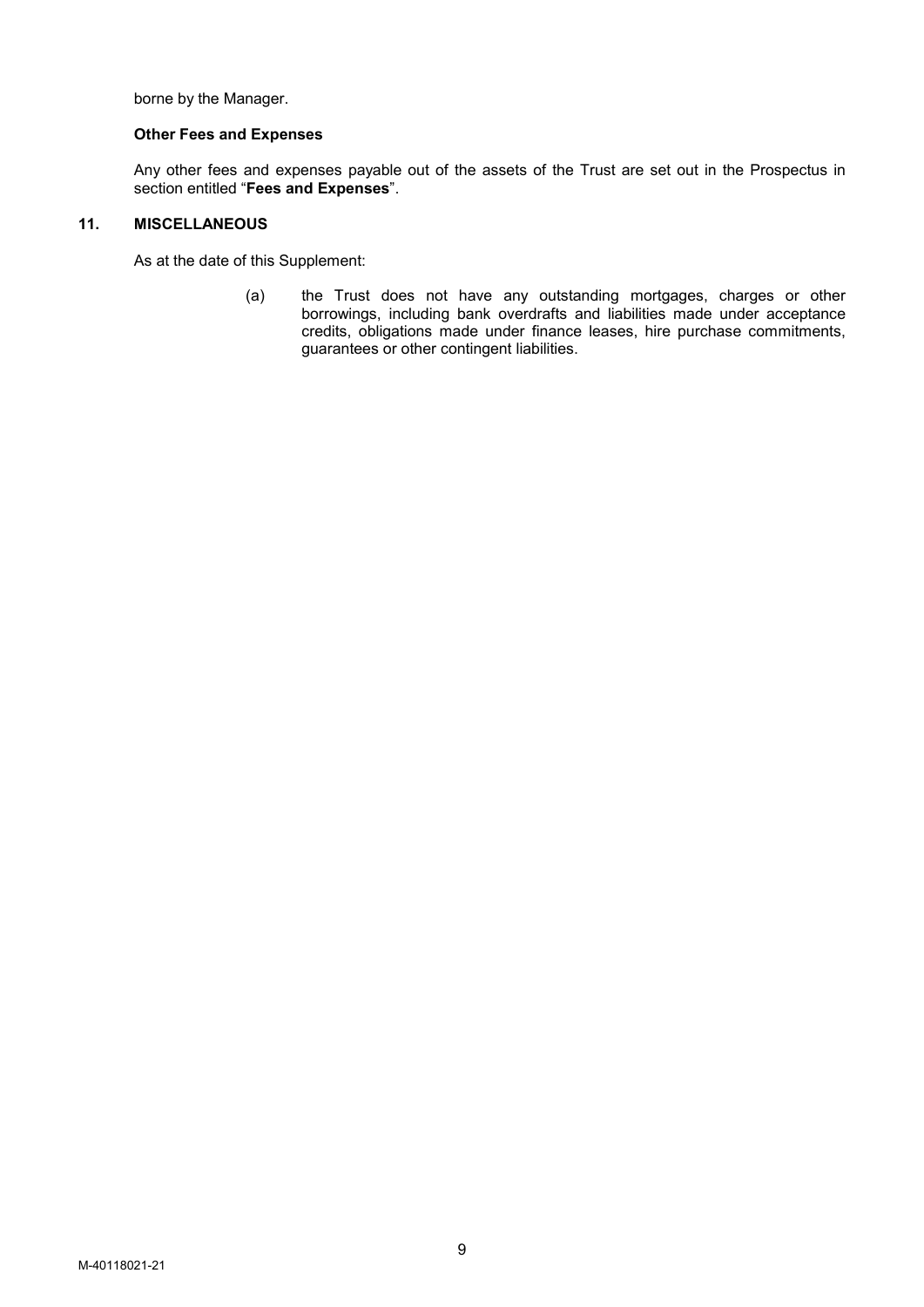borne by the Manager.

# Other Fees and Expenses

Any other fees and expenses payable out of the assets of the Trust are set out in the Prospectus in section entitled "Fees and Expenses".

# 11. MISCELLANEOUS

As at the date of this Supplement:

(a) the Trust does not have any outstanding mortgages, charges or other borrowings, including bank overdrafts and liabilities made under acceptance credits, obligations made under finance leases, hire purchase commitments, guarantees or other contingent liabilities.